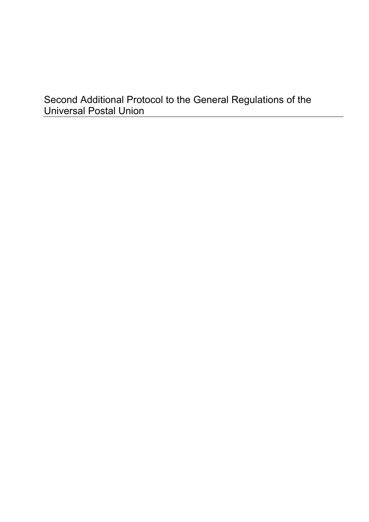# Second Additional Protocol to the General Regulations of the Universal Postal Union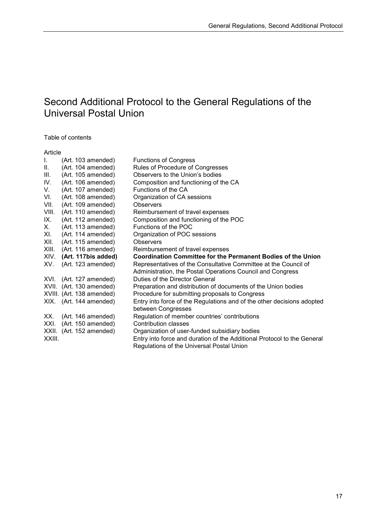# Second Additional Protocol to the General Regulations of the Universal Postal Union

Table of contents

#### Article

| L.     | (Art. 103 amended)        | <b>Functions of Congress</b>                                            |
|--------|---------------------------|-------------------------------------------------------------------------|
| Ш.     | (Art. 104 amended)        | Rules of Procedure of Congresses                                        |
| III.   | (Art. 105 amended)        | Observers to the Union's bodies                                         |
| IV.    | (Art. 106 amended)        | Composition and functioning of the CA                                   |
| V.     | (Art. 107 amended)        | Functions of the CA                                                     |
| VI.    | (Art. 108 amended)        | Organization of CA sessions                                             |
| VII.   | (Art. 109 amended)        | Observers                                                               |
| VIII.  | (Art. 110 amended)        | Reimbursement of travel expenses                                        |
| IX.    | (Art. 112 amended)        | Composition and functioning of the POC                                  |
| Х.     | (Art. 113 amended)        | Functions of the POC                                                    |
| XI.    | (Art. 114 amended)        | Organization of POC sessions                                            |
| XII.   | (Art. 115 amended)        | <b>Observers</b>                                                        |
| XIII.  | (Art. 116 amended)        | Reimbursement of travel expenses                                        |
|        |                           |                                                                         |
| XIV.   | (Art. 117bis added)       | <b>Coordination Committee for the Permanent Bodies of the Union</b>     |
| XV.    | (Art. 123 amended)        | Representatives of the Consultative Committee at the Council of         |
|        |                           | Administration, the Postal Operations Council and Congress              |
| XVI.   | (Art. 127 amended)        | Duties of the Director General                                          |
|        | XVII. (Art. 130 amended)  | Preparation and distribution of documents of the Union bodies           |
|        | XVIII. (Art. 138 amended) | Procedure for submitting proposals to Congress                          |
|        | XIX. (Art. 144 amended)   | Entry into force of the Regulations and of the other decisions adopted  |
|        |                           | between Congresses                                                      |
| XX.    | (Art. 146 amended)        | Regulation of member countries' contributions                           |
| XXI.   | (Art. 150 amended)        | Contribution classes                                                    |
|        | XXII. (Art. 152 amended)  | Organization of user-funded subsidiary bodies                           |
| XXIII. |                           | Entry into force and duration of the Additional Protocol to the General |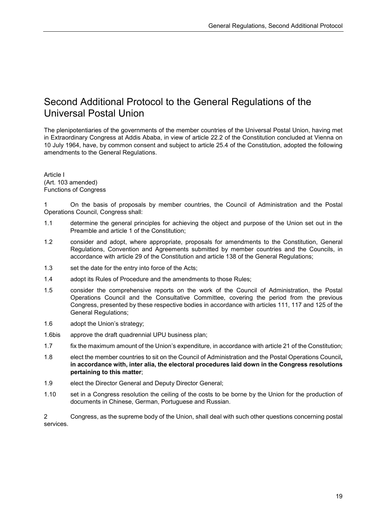# Second Additional Protocol to the General Regulations of the Universal Postal Union

The plenipotentiaries of the governments of the member countries of the Universal Postal Union, having met in Extraordinary Congress at Addis Ababa, in view of article 22.2 of the Constitution concluded at Vienna on 10 July 1964, have, by common consent and subject to article 25.4 of the Constitution, adopted the following amendments to the General Regulations.

Article I (Art. 103 amended) Functions of Congress

1 On the basis of proposals by member countries, the Council of Administration and the Postal Operations Council, Congress shall:

- 1.1 determine the general principles for achieving the object and purpose of the Union set out in the Preamble and article 1 of the Constitution;
- 1.2 consider and adopt, where appropriate, proposals for amendments to the Constitution, General Regulations, Convention and Agreements submitted by member countries and the Councils, in accordance with article 29 of the Constitution and article 138 of the General Regulations;
- 1.3 set the date for the entry into force of the Acts;
- 1.4 adopt its Rules of Procedure and the amendments to those Rules;
- 1.5 consider the comprehensive reports on the work of the Council of Administration, the Postal Operations Council and the Consultative Committee, covering the period from the previous Congress, presented by these respective bodies in accordance with articles 111, 117 and 125 of the General Regulations;
- 1.6 adopt the Union's strategy;
- 1.6bis approve the draft quadrennial UPU business plan;
- 1.7 fix the maximum amount of the Union's expenditure, in accordance with article 21 of the Constitution;
- 1.8 elect the member countries to sit on the Council of Administration and the Postal Operations Council**, in accordance with, inter alia, the electoral procedures laid down in the Congress resolutions pertaining to this matter**;
- 1.9 elect the Director General and Deputy Director General;
- 1.10 set in a Congress resolution the ceiling of the costs to be borne by the Union for the production of documents in Chinese, German, Portuguese and Russian.

2 Congress, as the supreme body of the Union, shall deal with such other questions concerning postal services.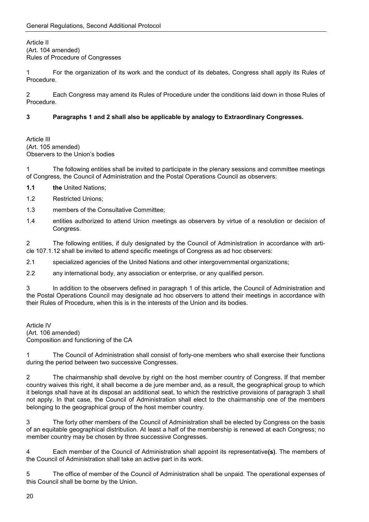Article II (Art. 104 amended) Rules of Procedure of Congresses

1 For the organization of its work and the conduct of its debates, Congress shall apply its Rules of Procedure.

2 Each Congress may amend its Rules of Procedure under the conditions laid down in those Rules of Procedure.

### **3 Paragraphs 1 and 2 shall also be applicable by analogy to Extraordinary Congresses.**

Article III (Art. 105 amended) Observers to the Union's bodies

1 The following entities shall be invited to participate in the plenary sessions and committee meetings of Congress, the Council of Administration and the Postal Operations Council as observers:

- **1.1 the** United Nations;
- 1.2 Restricted Unions;
- 1.3 members of the Consultative Committee;
- 1.4 entities authorized to attend Union meetings as observers by virtue of a resolution or decision of Congress.

2 The following entities, if duly designated by the Council of Administration in accordance with article 107.1.12 shall be invited to attend specific meetings of Congress as ad hoc observers:

2.1 specialized agencies of the United Nations and other intergovernmental organizations;

2.2 any international body, any association or enterprise, or any qualified person.

3 In addition to the observers defined in paragraph 1 of this article, the Council of Administration and the Postal Operations Council may designate ad hoc observers to attend their meetings in accordance with their Rules of Procedure, when this is in the interests of the Union and its bodies.

Article IV (Art. 106 amended) Composition and functioning of the CA

1 The Council of Administration shall consist of forty-one members who shall exercise their functions during the period between two successive Congresses.

2 The chairmanship shall devolve by right on the host member country of Congress. If that member country waives this right, it shall become a de jure member and, as a result, the geographical group to which it belongs shall have at its disposal an additional seat, to which the restrictive provisions of paragraph 3 shall not apply. In that case, the Council of Administration shall elect to the chairmanship one of the members belonging to the geographical group of the host member country.

3 The forty other members of the Council of Administration shall be elected by Congress on the basis of an equitable geographical distribution. At least a half of the membership is renewed at each Congress; no member country may be chosen by three successive Congresses.

4 Each member of the Council of Administration shall appoint its representative**(s)**. The members of the Council of Administration shall take an active part in its work.

5 The office of member of the Council of Administration shall be unpaid. The operational expenses of this Council shall be borne by the Union.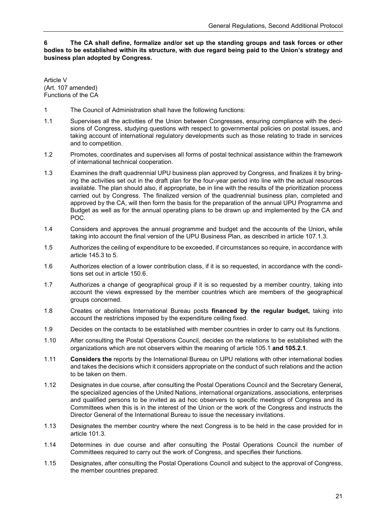**6 The CA shall define, formalize and/or set up the standing groups and task forces or other bodies to be established within its structure, with due regard being paid to the Union's strategy and business plan adopted by Congress.**

Article V (Art. 107 amended) Functions of the CA

- 1 The Council of Administration shall have the following functions:
- 1.1 Supervises all the activities of the Union between Congresses, ensuring compliance with the decisions of Congress, studying questions with respect to governmental policies on postal issues, and taking account of international regulatory developments such as those relating to trade in services and to competition.
- 1.2 Promotes, coordinates and supervises all forms of postal technical assistance within the framework of international technical cooperation.
- 1.3 Examines the draft quadrennial UPU business plan approved by Congress, and finalizes it by bringing the activities set out in the draft plan for the four-year period into line with the actual resources available. The plan should also, if appropriate, be in line with the results of the prioritization process carried out by Congress. The finalized version of the quadrennial business plan, completed and approved by the CA, will then form the basis for the preparation of the annual UPU Programme and Budget as well as for the annual operating plans to be drawn up and implemented by the CA and POC.
- 1.4 Considers and approves the annual programme and budget and the accounts of the Union**,** while taking into account the final version of the UPU Business Plan, as described in article 107.1.3.
- 1.5 Authorizes the ceiling of expenditure to be exceeded, if circumstances so require, in accordance with article 145.3 to 5.
- 1.6 Authorizes election of a lower contribution class, if it is so requested, in accordance with the conditions set out in article 150.6.
- 1.7 Authorizes a change of geographical group if it is so requested by a member country, taking into account the views expressed by the member countries which are members of the geographical groups concerned.
- 1.8 Creates or abolishes International Bureau posts **financed by the regular budget,** taking into account the restrictions imposed by the expenditure ceiling fixed.
- 1.9 Decides on the contacts to be established with member countries in order to carry out its functions.
- 1.10 After consulting the Postal Operations Council, decides on the relations to be established with the organizations which are not observers within the meaning of article 105.1 **and 105.2.1**.
- 1.11 **Considers the** reports by the International Bureau on UPU relations with other international bodies and takes the decisions which it considers appropriate on the conduct of such relations and the action to be taken on them.
- 1.12 Designates in due course, after consulting the Postal Operations Council and the Secretary General**,**  the specialized agencies of the United Nations, international organizations, associations, enterprises and qualified persons to be invited as ad hoc observers to specific meetings of Congress and its Committees when this is in the interest of the Union or the work of the Congress and instructs the Director General of the International Bureau to issue the necessary invitations.
- 1.13 Designates the member country where the next Congress is to be held in the case provided for in article 101.3.
- 1.14 Determines in due course and after consulting the Postal Operations Council the number of Committees required to carry out the work of Congress, and specifies their functions.
- 1.15 Designates, after consulting the Postal Operations Council and subject to the approval of Congress, the member countries prepared: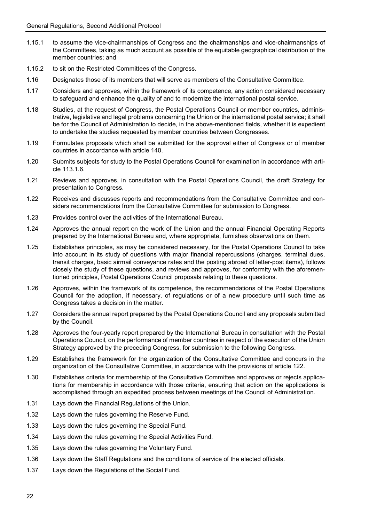- 1.15.1 to assume the vice-chairmanships of Congress and the chairmanships and vice-chairmanships of the Committees, taking as much account as possible of the equitable geographical distribution of the member countries; and
- 1.15.2 to sit on the Restricted Committees of the Congress.
- 1.16 Designates those of its members that will serve as members of the Consultative Committee.
- 1.17 Considers and approves, within the framework of its competence, any action considered necessary to safeguard and enhance the quality of and to modernize the international postal service.
- 1.18 Studies, at the request of Congress, the Postal Operations Council or member countries, administrative, legislative and legal problems concerning the Union or the international postal service; it shall be for the Council of Administration to decide, in the above-mentioned fields, whether it is expedient to undertake the studies requested by member countries between Congresses.
- 1.19 Formulates proposals which shall be submitted for the approval either of Congress or of member countries in accordance with article 140.
- 1.20 Submits subjects for study to the Postal Operations Council for examination in accordance with article 113.1.6.
- 1.21 Reviews and approves, in consultation with the Postal Operations Council, the draft Strategy for presentation to Congress.
- 1.22 Receives and discusses reports and recommendations from the Consultative Committee and considers recommendations from the Consultative Committee for submission to Congress.
- 1.23 Provides control over the activities of the International Bureau.
- 1.24 Approves the annual report on the work of the Union and the annual Financial Operating Reports prepared by the International Bureau and, where appropriate, furnishes observations on them.
- 1.25 Establishes principles, as may be considered necessary, for the Postal Operations Council to take into account in its study of questions with major financial repercussions (charges, terminal dues, transit charges, basic airmail conveyance rates and the posting abroad of letter-post items), follows closely the study of these questions, and reviews and approves, for conformity with the aforementioned principles, Postal Operations Council proposals relating to these questions.
- 1.26 Approves, within the framework of its competence, the recommendations of the Postal Operations Council for the adoption, if necessary, of regulations or of a new procedure until such time as Congress takes a decision in the matter.
- 1.27 Considers the annual report prepared by the Postal Operations Council and any proposals submitted by the Council.
- 1.28 Approves the four-yearly report prepared by the International Bureau in consultation with the Postal Operations Council, on the performance of member countries in respect of the execution of the Union Strategy approved by the preceding Congress, for submission to the following Congress.
- 1.29 Establishes the framework for the organization of the Consultative Committee and concurs in the organization of the Consultative Committee, in accordance with the provisions of article 122.
- 1.30 Establishes criteria for membership of the Consultative Committee and approves or rejects applications for membership in accordance with those criteria, ensuring that action on the applications is accomplished through an expedited process between meetings of the Council of Administration.
- 1.31 Lays down the Financial Regulations of the Union.
- 1.32 Lays down the rules governing the Reserve Fund.
- 1.33 Lays down the rules governing the Special Fund.
- 1.34 Lays down the rules governing the Special Activities Fund.
- 1.35 Lays down the rules governing the Voluntary Fund.
- 1.36 Lays down the Staff Regulations and the conditions of service of the elected officials.
- 1.37 Lays down the Regulations of the Social Fund.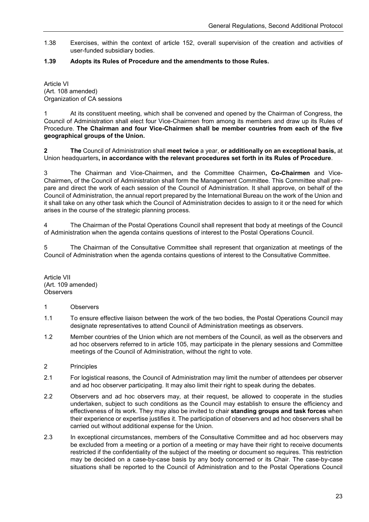1.38 Exercises, within the context of article 152, overall supervision of the creation and activities of user-funded subsidiary bodies.

### **1.39 Adopts its Rules of Procedure and the amendments to those Rules.**

Article VI (Art. 108 amended) Organization of CA sessions

1 At its constituent meeting, which shall be convened and opened by the Chairman of Congress, the Council of Administration shall elect four Vice-Chairmen from among its members and draw up its Rules of Procedure. **The Chairman and four Vice-Chairmen shall be member countries from each of the five geographical groups of the Union.**

**2 The** Council of Administration shall **meet twice** a year, **or additionally on an exceptional basis,** at Union headquarters**, in accordance with the relevant procedures set forth in its Rules of Procedure**.

3 The Chairman and Vice-Chairmen**,** and the Committee Chairmen**, Co-Chairmen** and Vice-Chairmen**,** of the Council of Administration shall form the Management Committee. This Committee shall prepare and direct the work of each session of the Council of Administration. It shall approve, on behalf of the Council of Administration, the annual report prepared by the International Bureau on the work of the Union and it shall take on any other task which the Council of Administration decides to assign to it or the need for which arises in the course of the strategic planning process.

4 The Chairman of the Postal Operations Council shall represent that body at meetings of the Council of Administration when the agenda contains questions of interest to the Postal Operations Council.

5 The Chairman of the Consultative Committee shall represent that organization at meetings of the Council of Administration when the agenda contains questions of interest to the Consultative Committee.

Article VII (Art. 109 amended) **Observers** 

### 1 Observers

- 1.1 To ensure effective liaison between the work of the two bodies, the Postal Operations Council may designate representatives to attend Council of Administration meetings as observers.
- 1.2 Member countries of the Union which are not members of the Council, as well as the observers and ad hoc observers referred to in article 105, may participate in the plenary sessions and Committee meetings of the Council of Administration, without the right to vote.
- 2 Principles
- 2.1 For logistical reasons, the Council of Administration may limit the number of attendees per observer and ad hoc observer participating. It may also limit their right to speak during the debates.
- 2.2 Observers and ad hoc observers may, at their request, be allowed to cooperate in the studies undertaken, subject to such conditions as the Council may establish to ensure the efficiency and effectiveness of its work. They may also be invited to chair **standing groups and task forces** when their experience or expertise justifies it. The participation of observers and ad hoc observers shall be carried out without additional expense for the Union.
- 2.3 In exceptional circumstances, members of the Consultative Committee and ad hoc observers may be excluded from a meeting or a portion of a meeting or may have their right to receive documents restricted if the confidentiality of the subject of the meeting or document so requires. This restriction may be decided on a case-by-case basis by any body concerned or its Chair. The case-by-case situations shall be reported to the Council of Administration and to the Postal Operations Council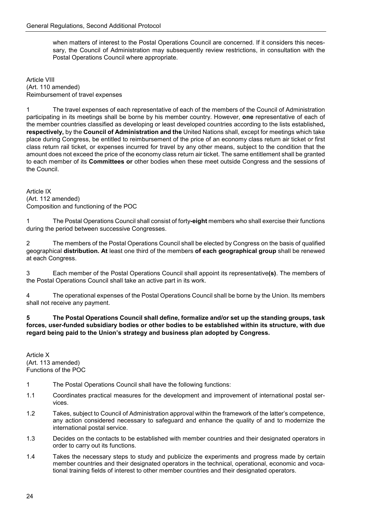when matters of interest to the Postal Operations Council are concerned. If it considers this necessary, the Council of Administration may subsequently review restrictions, in consultation with the Postal Operations Council where appropriate.

Article VIII (Art. 110 amended) Reimbursement of travel expenses

1 The travel expenses of each representative of each of the members of the Council of Administration participating in its meetings shall be borne by his member country. However, **one** representative of each of the member countries classified as developing or least developed countries according to the lists established**, respectively,** by the **Council of Administration and the** United Nations shall, except for meetings which take place during Congress, be entitled to reimbursement of the price of an economy class return air ticket or first class return rail ticket, or expenses incurred for travel by any other means, subject to the condition that the amount does not exceed the price of the economy class return air ticket. The same entitlement shall be granted to each member of its **Committees or** other bodies when these meet outside Congress and the sessions of the Council.

Article IX (Art. 112 amended) Composition and functioning of the POC

1 The Postal Operations Council shall consist of forty**-eight** members who shall exercise their functions during the period between successive Congresses.

2 The members of the Postal Operations Council shall be elected by Congress on the basis of qualified geographical **distribution. At** least one third of the members **of each geographical group** shall be renewed at each Congress.

3 Each member of the Postal Operations Council shall appoint its representative**(s)**. The members of the Postal Operations Council shall take an active part in its work.

4 The operational expenses of the Postal Operations Council shall be borne by the Union. Its members shall not receive any payment.

**5 The Postal Operations Council shall define, formalize and/or set up the standing groups, task forces, user-funded subsidiary bodies or other bodies to be established within its structure, with due regard being paid to the Union's strategy and business plan adopted by Congress.**

Article X (Art. 113 amended) Functions of the POC

- 1 The Postal Operations Council shall have the following functions:
- 1.1 Coordinates practical measures for the development and improvement of international postal services.
- 1.2 Takes, subject to Council of Administration approval within the framework of the latter's competence, any action considered necessary to safeguard and enhance the quality of and to modernize the international postal service.
- 1.3 Decides on the contacts to be established with member countries and their designated operators in order to carry out its functions.
- 1.4 Takes the necessary steps to study and publicize the experiments and progress made by certain member countries and their designated operators in the technical, operational, economic and vocational training fields of interest to other member countries and their designated operators.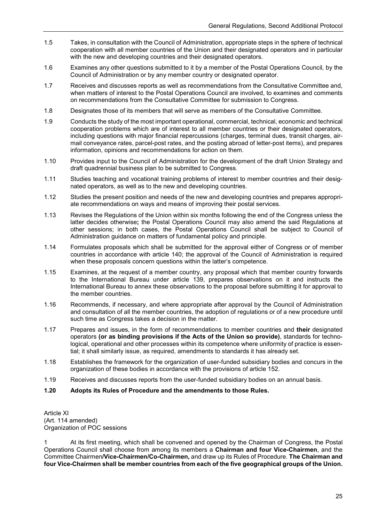- 1.5 Takes, in consultation with the Council of Administration, appropriate steps in the sphere of technical cooperation with all member countries of the Union and their designated operators and in particular with the new and developing countries and their designated operators.
- 1.6 Examines any other questions submitted to it by a member of the Postal Operations Council, by the Council of Administration or by any member country or designated operator.
- 1.7 Receives and discusses reports as well as recommendations from the Consultative Committee and, when matters of interest to the Postal Operations Council are involved, to examines and comments on recommendations from the Consultative Committee for submission to Congress.
- 1.8 Designates those of its members that will serve as members of the Consultative Committee.
- 1.9 Conducts the study of the most important operational, commercial, technical, economic and technical cooperation problems which are of interest to all member countries or their designated operators, including questions with major financial repercussions (charges, terminal dues, transit charges, airmail conveyance rates, parcel-post rates, and the posting abroad of letter-post items), and prepares information, opinions and recommendations for action on them.
- 1.10 Provides input to the Council of Administration for the development of the draft Union Strategy and draft quadrennial business plan to be submitted to Congress.
- 1.11 Studies teaching and vocational training problems of interest to member countries and their designated operators, as well as to the new and developing countries.
- 1.12 Studies the present position and needs of the new and developing countries and prepares appropriate recommendations on ways and means of improving their postal services.
- 1.13 Revises the Regulations of the Union within six months following the end of the Congress unless the latter decides otherwise**;** the Postal Operations Council may also amend the said Regulations at other sessions; in both cases, the Postal Operations Council shall be subject to Council of Administration guidance on matters of fundamental policy and principle.
- 1.14 Formulates proposals which shall be submitted for the approval either of Congress or of member countries in accordance with article 140; the approval of the Council of Administration is required when these proposals concern questions within the latter's competence.
- 1.15 Examines, at the request of a member country, any proposal which that member country forwards to the International Bureau under article 139, prepares observations on it and instructs the International Bureau to annex these observations to the proposal before submitting it for approval to the member countries.
- 1.16 Recommends, if necessary, and where appropriate after approval by the Council of Administration and consultation of all the member countries, the adoption of regulations or of a new procedure until such time as Congress takes a decision in the matter.
- 1.17 Prepares and issues, in the form of recommendations to member countries and **their** designated operators **(or as binding provisions if the Acts of the Union so provide)**, standards for technological, operational and other processes within its competence where uniformity of practice is essential; it shall similarly issue, as required, amendments to standards it has already set.
- 1.18 Establishes the framework for the organization of user-funded subsidiary bodies and concurs in the organization of these bodies in accordance with the provisions of article 152.
- 1.19 Receives and discusses reports from the user-funded subsidiary bodies on an annual basis.
- **1.20 Adopts its Rules of Procedure and the amendments to those Rules.**

Article XI (Art. 114 amended) Organization of POC sessions

1 At its first meeting, which shall be convened and opened by the Chairman of Congress, the Postal Operations Council shall choose from among its members a **Chairman and four Vice-Chairmen**, and the Committee Chairmen**/Vice-Chairmen/Co-Chairmen,** and draw up its Rules of Procedure. **The Chairman and four Vice-Chairmen shall be member countries from each of the five geographical groups of the Union.**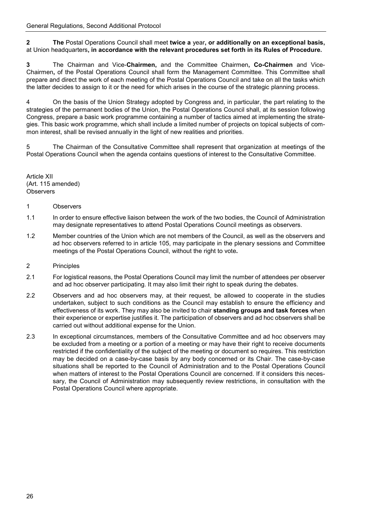**2 The** Postal Operations Council shall meet **twice a** year**, or additionally on an exceptional basis,** at Union headquarters**, in accordance with the relevant procedures set forth in its Rules of Procedure.**

**3** The Chairman and Vice-**Chairmen,** and the Committee Chairmen**, Co-Chairmen** and Vice-Chairmen**,** of the Postal Operations Council shall form the Management Committee. This Committee shall prepare and direct the work of each meeting of the Postal Operations Council and take on all the tasks which the latter decides to assign to it or the need for which arises in the course of the strategic planning process.

4 On the basis of the Union Strategy adopted by Congress and, in particular, the part relating to the strategies of the permanent bodies of the Union, the Postal Operations Council shall, at its session following Congress, prepare a basic work programme containing a number of tactics aimed at implementing the strategies. This basic work programme, which shall include a limited number of projects on topical subjects of common interest, shall be revised annually in the light of new realities and priorities.

5 The Chairman of the Consultative Committee shall represent that organization at meetings of the Postal Operations Council when the agenda contains questions of interest to the Consultative Committee.

Article XII (Art. 115 amended) **Observers** 

### 1 Observers

- 1.1 In order to ensure effective liaison between the work of the two bodies, the Council of Administration may designate representatives to attend Postal Operations Council meetings as observers.
- 1.2 Member countries of the Union which are not members of the Council, as well as the observers and ad hoc observers referred to in article 105, may participate in the plenary sessions and Committee meetings of the Postal Operations Council, without the right to vote**.**
- 2 Principles
- 2.1 For logistical reasons, the Postal Operations Council may limit the number of attendees per observer and ad hoc observer participating. It may also limit their right to speak during the debates.
- 2.2 Observers and ad hoc observers may, at their request, be allowed to cooperate in the studies undertaken, subject to such conditions as the Council may establish to ensure the efficiency and effectiveness of its work. They may also be invited to chair **standing groups and task forces** when their experience or expertise justifies it. The participation of observers and ad hoc observers shall be carried out without additional expense for the Union.
- 2.3 In exceptional circumstances, members of the Consultative Committee and ad hoc observers may be excluded from a meeting or a portion of a meeting or may have their right to receive documents restricted if the confidentiality of the subject of the meeting or document so requires. This restriction may be decided on a case-by-case basis by any body concerned or its Chair. The case-by-case situations shall be reported to the Council of Administration and to the Postal Operations Council when matters of interest to the Postal Operations Council are concerned. If it considers this necessary, the Council of Administration may subsequently review restrictions, in consultation with the Postal Operations Council where appropriate.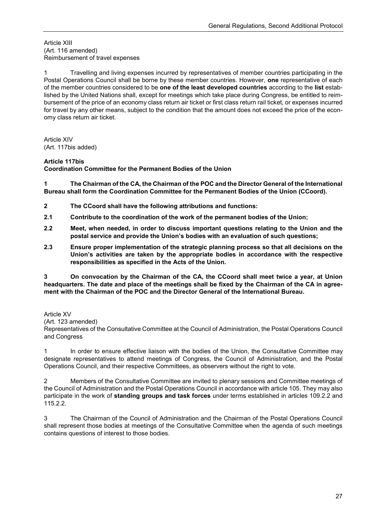Article XIII (Art. 116 amended) Reimbursement of travel expenses

1 Travelling and living expenses incurred by representatives of member countries participating in the Postal Operations Council shall be borne by these member countries. However, **one** representative of each of the member countries considered to be **one of the least developed countries** according to the **list** established by the United Nations shall, except for meetings which take place during Congress, be entitled to reimbursement of the price of an economy class return air ticket or first class return rail ticket, or expenses incurred for travel by any other means, subject to the condition that the amount does not exceed the price of the economy class return air ticket.

Article XIV (Art. 117bis added)

### **Article 117bis**

**Coordination Committee for the Permanent Bodies of the Union** 

**1 The Chairman of the CA, the Chairman of the POC and the Director General of the International Bureau shall form the Coordination Committee for the Permanent Bodies of the Union (CCoord).** 

- **2 The CCoord shall have the following attributions and functions:**
- **2.1 Contribute to the coordination of the work of the permanent bodies of the Union;**
- **2.2 Meet, when needed, in order to discuss important questions relating to the Union and the postal service and provide the Union's bodies with an evaluation of such questions;**
- **2.3 Ensure proper implementation of the strategic planning process so that all decisions on the Union's activities are taken by the appropriate bodies in accordance with the respective responsibilities as specified in the Acts of the Union.**

**3 On convocation by the Chairman of the CA, the CCoord shall meet twice a year, at Union headquarters. The date and place of the meetings shall be fixed by the Chairman of the CA in agreement with the Chairman of the POC and the Director General of the International Bureau.**

Article XV (Art. 123 amended) Representatives of the Consultative Committee at the Council of Administration, the Postal Operations Council and Congress

1 In order to ensure effective liaison with the bodies of the Union, the Consultative Committee may designate representatives to attend meetings of Congress, the Council of Administration, and the Postal Operations Council, and their respective Committees, as observers without the right to vote.

2 Members of the Consultative Committee are invited to plenary sessions and Committee meetings of the Council of Administration and the Postal Operations Council in accordance with article 105. They may also participate in the work of **standing groups and task forces** under terms established in articles 109.2.2 and 115.2.2.

3 The Chairman of the Council of Administration and the Chairman of the Postal Operations Council shall represent those bodies at meetings of the Consultative Committee when the agenda of such meetings contains questions of interest to those bodies.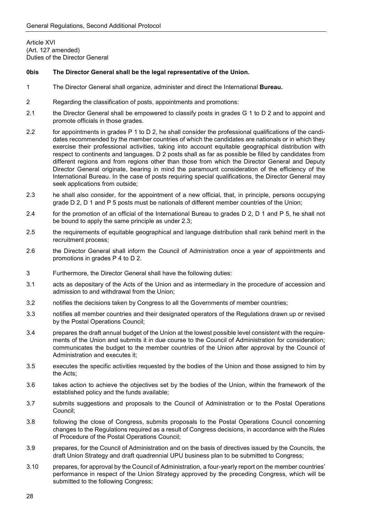Article XVI (Art. 127 amended) Duties of the Director General

#### **0bis The Director General shall be the legal representative of the Union.**

- 1 The Director General shall organize, administer and direct the International **Bureau.**
- 2 Regarding the classification of posts, appointments and promotions:
- 2.1 the Director General shall be empowered to classify posts in grades G 1 to D 2 and to appoint and promote officials in those grades.
- 2.2 for appointments in grades P 1 to D 2, he shall consider the professional qualifications of the candidates recommended by the member countries of which the candidates are nationals or in which they exercise their professional activities, taking into account equitable geographical distribution with respect to continents and languages. D 2 posts shall as far as possible be filled by candidates from different regions and from regions other than those from which the Director General and Deputy Director General originate, bearing in mind the paramount consideration of the efficiency of the International Bureau. In the case of posts requiring special qualifications, the Director General may seek applications from outside;
- 2.3 he shall also consider, for the appointment of a new official, that, in principle, persons occupying grade D 2, D 1 and P 5 posts must be nationals of different member countries of the Union;
- 2.4 for the promotion of an official of the International Bureau to grades D 2, D 1 and P 5, he shall not be bound to apply the same principle as under 2.3;
- 2.5 the requirements of equitable geographical and language distribution shall rank behind merit in the recruitment process;
- 2.6 the Director General shall inform the Council of Administration once a year of appointments and promotions in grades P 4 to D 2.
- 3 Furthermore, the Director General shall have the following duties:
- 3.1 acts as depositary of the Acts of the Union and as intermediary in the procedure of accession and admission to and withdrawal from the Union;
- 3.2 notifies the decisions taken by Congress to all the Governments of member countries;
- 3.3 notifies all member countries and their designated operators of the Regulations drawn up or revised by the Postal Operations Council;
- 3.4 prepares the draft annual budget of the Union at the lowest possible level consistent with the requirements of the Union and submits it in due course to the Council of Administration for consideration; communicates the budget to the member countries of the Union after approval by the Council of Administration and executes it;
- 3.5 executes the specific activities requested by the bodies of the Union and those assigned to him by the Acts;
- 3.6 takes action to achieve the objectives set by the bodies of the Union, within the framework of the established policy and the funds available;
- 3.7 submits suggestions and proposals to the Council of Administration or to the Postal Operations Council;
- 3.8 following the close of Congress, submits proposals to the Postal Operations Council concerning changes to the Regulations required as a result of Congress decisions, in accordance with the Rules of Procedure of the Postal Operations Council;
- 3.9 prepares, for the Council of Administration and on the basis of directives issued by the Councils, the draft Union Strategy and draft quadrennial UPU business plan to be submitted to Congress;
- 3.10 prepares, for approval by the Council of Administration, a four-yearly report on the member countries' performance in respect of the Union Strategy approved by the preceding Congress, which will be submitted to the following Congress;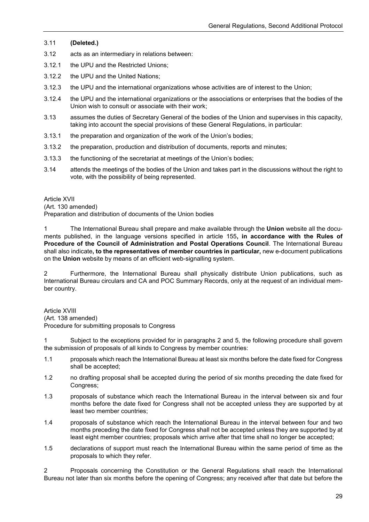### 3.11 **(Deleted.)**

- 3.12 acts as an intermediary in relations between:
- 3.12.1 the UPU and the Restricted Unions;
- 3.12.2 the UPU and the United Nations;
- 3.12.3 the UPU and the international organizations whose activities are of interest to the Union;
- 3.12.4 the UPU and the international organizations or the associations or enterprises that the bodies of the Union wish to consult or associate with their work;
- 3.13 assumes the duties of Secretary General of the bodies of the Union and supervises in this capacity, taking into account the special provisions of these General Regulations, in particular:
- 3.13.1 the preparation and organization of the work of the Union's bodies;
- 3.13.2 the preparation, production and distribution of documents, reports and minutes;
- 3.13.3 the functioning of the secretariat at meetings of the Union's bodies;
- 3.14 attends the meetings of the bodies of the Union and takes part in the discussions without the right to vote, with the possibility of being represented.

Article XVII

(Art. 130 amended)

Preparation and distribution of documents of the Union bodies

1 The International Bureau shall prepare and make available through the **Union** website all the documents published, in the language versions specified in article 155**, in accordance with the Rules of Procedure of the Council of Administration and Postal Operations Council**. The International Bureau shall also indicate**, to the representatives of member countries in particular,** new e-document publications on the **Union** website by means of an efficient web-signalling system.

2 Furthermore, the International Bureau shall physically distribute Union publications, such as International Bureau circulars and CA and POC Summary Records, only at the request of an individual member country.

Article XVIII (Art. 138 amended) Procedure for submitting proposals to Congress

1 Subject to the exceptions provided for in paragraphs 2 and 5, the following procedure shall govern the submission of proposals of all kinds to Congress by member countries:

- 1.1 proposals which reach the International Bureau at least six months before the date fixed for Congress shall be accepted;
- 1.2 no drafting proposal shall be accepted during the period of six months preceding the date fixed for Congress;
- 1.3 proposals of substance which reach the International Bureau in the interval between six and four months before the date fixed for Congress shall not be accepted unless they are supported by at least two member countries;
- 1.4 proposals of substance which reach the International Bureau in the interval between four and two months preceding the date fixed for Congress shall not be accepted unless they are supported by at least eight member countries; proposals which arrive after that time shall no longer be accepted;
- 1.5 declarations of support must reach the International Bureau within the same period of time as the proposals to which they refer.

2 Proposals concerning the Constitution or the General Regulations shall reach the International Bureau not later than six months before the opening of Congress; any received after that date but before the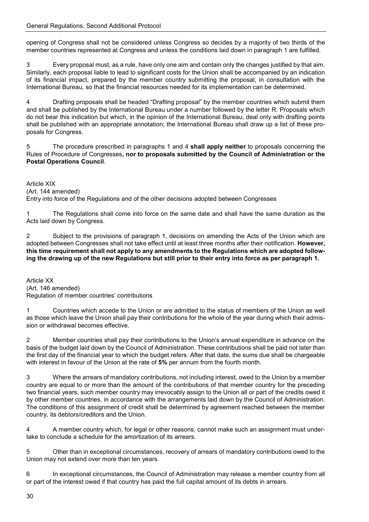opening of Congress shall not be considered unless Congress so decides by a majority of two thirds of the member countries represented at Congress and unless the conditions laid down in paragraph 1 are fulfilled.

3 Every proposal must, as a rule, have only one aim and contain only the changes justified by that aim. Similarly, each proposal liable to lead to significant costs for the Union shall be accompanied by an indication of its financial impact, prepared by the member country submitting the proposal, in consultation with the International Bureau, so that the financial resources needed for its implementation can be determined.

4 Drafting proposals shall be headed "Drafting proposal" by the member countries which submit them and shall be published by the International Bureau under a number followed by the letter R. Proposals which do not bear this indication but which, in the opinion of the International Bureau, deal only with drafting points shall be published with an appropriate annotation; the International Bureau shall draw up a list of these proposals for Congress.

5 The procedure prescribed in paragraphs 1 and 4 **shall apply neither** to proposals concerning the Rules of Procedure of Congresses**, nor to proposals submitted by the Council of Administration or the Postal Operations Council**.

Article XIX

(Art. 144 amended)

Entry into force of the Regulations and of the other decisions adopted between Congresses

1 The Regulations shall come into force on the same date and shall have the same duration as the Acts laid down by Congress.

2 Subject to the provisions of paragraph 1, decisions on amending the Acts of the Union which are adopted between Congresses shall not take effect until at least three months after their notification. **However, this time requirement shall not apply to any amendments to the Regulations which are adopted following the drawing up of the new Regulations but still prior to their entry into force as per paragraph 1.** 

Article XX (Art. 146 amended) Regulation of member countries' contributions

1 Countries which accede to the Union or are admitted to the status of members of the Union as well as those which leave the Union shall pay their contributions for the whole of the year during which their admission or withdrawal becomes effective.

2 Member countries shall pay their contributions to the Union's annual expenditure in advance on the basis of the budget laid down by the Council of Administration. These contributions shall be paid not later than the first day of the financial year to which the budget refers. After that date, the sums due shall be chargeable with interest in favour of the Union at the rate of **5%** per annum from the fourth month.

3 Where the arrears of mandatory contributions, not including interest, owed to the Union by a member country are equal to or more than the amount of the contributions of that member country for the preceding two financial years, such member country may irrevocably assign to the Union all or part of the credits owed it by other member countries, in accordance with the arrangements laid down by the Council of Administration. The conditions of this assignment of credit shall be determined by agreement reached between the member country, its debtors/creditors and the Union.

4 A member country which, for legal or other reasons, cannot make such an assignment must undertake to conclude a schedule for the amortization of its arrears.

5 Other than in exceptional circumstances, recovery of arrears of mandatory contributions owed to the Union may not extend over more than ten years.

6 In exceptional circumstances, the Council of Administration may release a member country from all or part of the interest owed if that country has paid the full capital amount of its debts in arrears.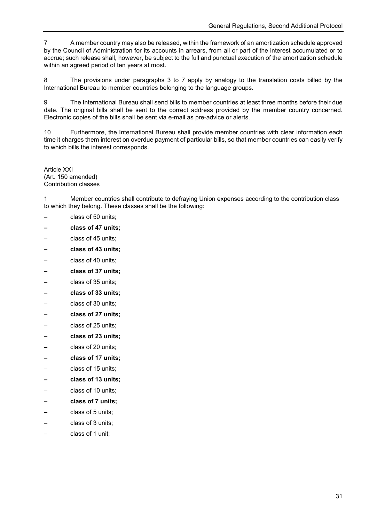7 A member country may also be released, within the framework of an amortization schedule approved by the Council of Administration for its accounts in arrears, from all or part of the interest accumulated or to accrue; such release shall, however, be subject to the full and punctual execution of the amortization schedule within an agreed period of ten years at most.

8 The provisions under paragraphs 3 to 7 apply by analogy to the translation costs billed by the International Bureau to member countries belonging to the language groups.

9 The International Bureau shall send bills to member countries at least three months before their due date. The original bills shall be sent to the correct address provided by the member country concerned. Electronic copies of the bills shall be sent via e-mail as pre-advice or alerts.

10 Furthermore, the International Bureau shall provide member countries with clear information each time it charges them interest on overdue payment of particular bills, so that member countries can easily verify to which bills the interest corresponds.

Article XXI (Art. 150 amended) Contribution classes

1 Member countries shall contribute to defraying Union expenses according to the contribution class to which they belong. These classes shall be the following:

class of 50 units;

- **– class of 47 units;**
- class of 45 units;
- **– class of 43 units;**
- class of 40 units;
- **– class of 37 units;**
- class of 35 units;
- **– class of 33 units;**
- class of 30 units;
- **– class of 27 units;**
- class of 25 units;
- **– class of 23 units;**
- class of 20 units;
- **– class of 17 units;**
- class of 15 units;
- **– class of 13 units;**
- class of 10 units;
- **– class of 7 units;**
- class of 5 units;
- class of 3 units;
- class of 1 unit;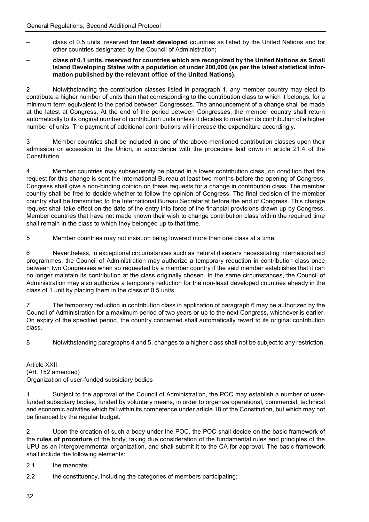- class of 0.5 units, reserved **for least developed** countries as listed by the United Nations and for other countries designated by the Council of Administration**;**
- **– class of 0.1 units, reserved for countries which are recognized by the United Nations as Small Island Developing States with a population of under 200,000 (as per the latest statistical information published by the relevant office of the United Nations).**

2 Notwithstanding the contribution classes listed in paragraph 1, any member country may elect to contribute a higher number of units than that corresponding to the contribution class to which it belongs, for a minimum term equivalent to the period between Congresses. The announcement of a change shall be made at the latest at Congress. At the end of the period between Congresses, the member country shall return automatically to its original number of contribution units unless it decides to maintain its contribution of a higher number of units. The payment of additional contributions will increase the expenditure accordingly.

3 Member countries shall be included in one of the above-mentioned contribution classes upon their admission or accession to the Union, in accordance with the procedure laid down in article 21.4 of the Constitution.

4 Member countries may subsequently be placed in a lower contribution class, on condition that the request for this change is sent the International Bureau at least two months before the opening of Congress. Congress shall give a non-binding opinion on these requests for a change in contribution class. The member country shall be free to decide whether to follow the opinion of Congress. The final decision of the member country shall be transmitted to the International Bureau Secretariat before the end of Congress. This change request shall take effect on the date of the entry into force of the financial provisions drawn up by Congress. Member countries that have not made known their wish to change contribution class within the required time shall remain in the class to which they belonged up to that time.

5 Member countries may not insist on being lowered more than one class at a time.

6 Nevertheless, in exceptional circumstances such as natural disasters necessitating international aid programmes, the Council of Administration may authorize a temporary reduction in contribution class once between two Congresses when so requested by a member country if the said member establishes that it can no longer maintain its contribution at the class originally chosen. In the same circumstances, the Council of Administration may also authorize a temporary reduction for the non-least developed countries already in the class of 1 unit by placing them in the class of 0.5 units.

7 The temporary reduction in contribution class in application of paragraph 6 may be authorized by the Council of Administration for a maximum period of two years or up to the next Congress, whichever is earlier. On expiry of the specified period, the country concerned shall automatically revert to its original contribution class.

8 Notwithstanding paragraphs 4 and 5, changes to a higher class shall not be subject to any restriction.

Article XXII (Art. 152 amended) Organization of user-funded subsidiary bodies

1 Subject to the approval of the Council of Administration, the POC may establish a number of userfunded subsidiary bodies, funded by voluntary means, in order to organize operational, commercial, technical and economic activities which fall within its competence under article 18 of the Constitution, but which may not be financed by the regular budget.

2 Upon the creation of such a body under the POC, the POC shall decide on the basic framework of the **rules of procedure** of the body, taking due consideration of the fundamental rules and principles of the UPU as an intergovernmental organization, and shall submit it to the CA for approval. The basic framework shall include the following elements:

- 2.1 the mandate;
- 2.2 the constituency, including the categories of members participating;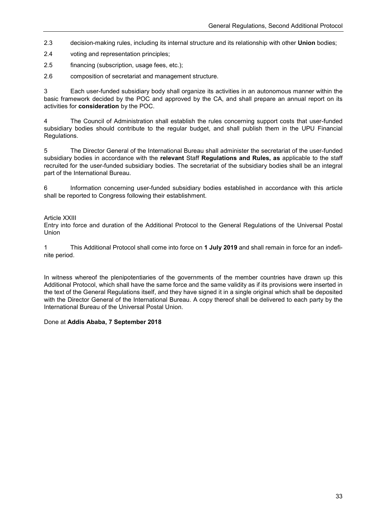- 2.3 decision-making rules, including its internal structure and its relationship with other **Union** bodies;
- 2.4 voting and representation principles;
- 2.5 financing (subscription, usage fees, etc.);
- 2.6 composition of secretariat and management structure.

3 Each user-funded subsidiary body shall organize its activities in an autonomous manner within the basic framework decided by the POC and approved by the CA, and shall prepare an annual report on its activities for **consideration** by the POC.

4 The Council of Administration shall establish the rules concerning support costs that user-funded subsidiary bodies should contribute to the regular budget, and shall publish them in the UPU Financial Regulations.

5 The Director General of the International Bureau shall administer the secretariat of the user-funded subsidiary bodies in accordance with the **relevant** Staff **Regulations and Rules, as** applicable to the staff recruited for the user-funded subsidiary bodies. The secretariat of the subsidiary bodies shall be an integral part of the International Bureau.

6 Information concerning user-funded subsidiary bodies established in accordance with this article shall be reported to Congress following their establishment.

#### Article XXIII

Entry into force and duration of the Additional Protocol to the General Regulations of the Universal Postal Union

1 This Additional Protocol shall come into force on **1 July 2019** and shall remain in force for an indefinite period.

In witness whereof the plenipotentiaries of the governments of the member countries have drawn up this Additional Protocol, which shall have the same force and the same validity as if its provisions were inserted in the text of the General Regulations itself, and they have signed it in a single original which shall be deposited with the Director General of the International Bureau. A copy thereof shall be delivered to each party by the International Bureau of the Universal Postal Union.

#### Done at **Addis Ababa, 7 September 2018**